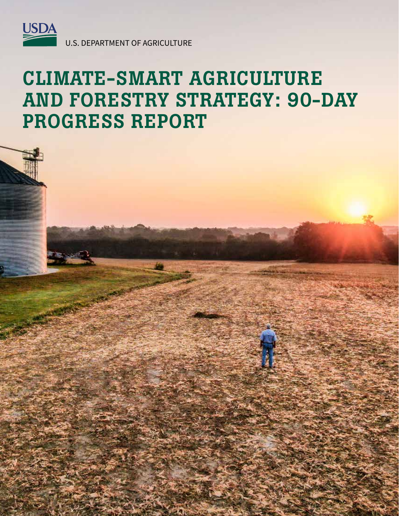

U.S. DEPARTMENT OF AGRICULTURE

# CLIMATE-SMART AGRICULTURE AND FORESTRY STRATEGY: 90-DAY PROGRESS REPORT

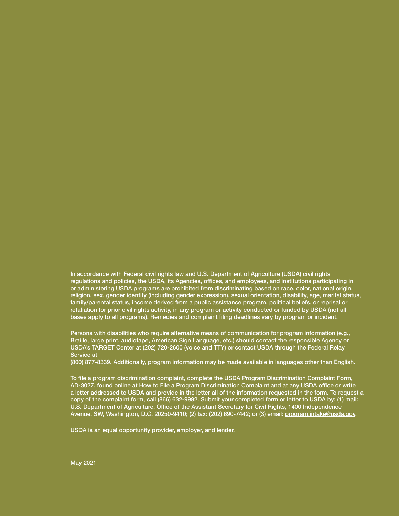In accordance with Federal civil rights law and U.S. Department of Agriculture (USDA) civil rights regulations and policies, the USDA, its Agencies, offices, and employees, and institutions participating in or administering USDA programs are prohibited from discriminating based on race, color, national origin, religion, sex, gender identity (including gender expression), sexual orientation, disability, age, marital status, family/parental status, income derived from a public assistance program, political beliefs, or reprisal or retaliation for prior civil rights activity, in any program or activity conducted or funded by USDA (not all bases apply to all programs). Remedies and complaint filing deadlines vary by program or incident.

Persons with disabilities who require alternative means of communication for program information (e.g., Braille, large print, audiotape, American Sign Language, etc.) should contact the responsible Agency or USDA's TARGET Center at (202) 720-2600 (voice and TTY) or contact USDA through the Federal Relay Service at

(800) 877-8339. Additionally, program information may be made available in languages other than English.

To file a program discrimination complaint, complete the USDA Program Discrimination Complaint Form, AD-3027, found online at How to File a Program Discrimination Complaint and at any USDA office or write a letter addressed to USDA and provide in the letter all of the information requested in the form. To request a copy of the complaint form, call (866) 632-9992. Submit your completed form or letter to USDA by: (1) mail: U.S. Department of Agriculture, Office of the Assistant Secretary for Civil Rights, 1400 Independence Avenue, SW, Washington, D.C. 20250-9410; (2) fax: (202) 690-7442; or (3) email: program.intake@usda.gov.

USDA is an equal opportunity provider, employer, and lender.

May 2021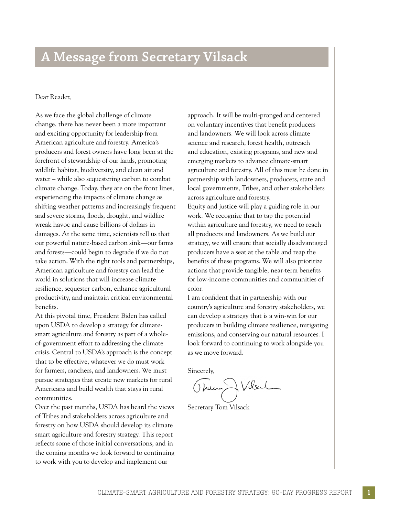# **A Message from Secretary Vilsack**

#### Dear Reader,

As we face the global challenge of climate change, there has never been a more important and exciting opportunity for leadership from American agriculture and forestry. America's producers and forest owners have long been at the forefront of stewardship of our lands, promoting wildlife habitat, biodiversity, and clean air and water – while also sequestering carbon to combat climate change. Today, they are on the front lines, experiencing the impacts of climate change as shifting weather patterns and increasingly frequent and severe storms, foods, drought, and wildfre wreak havoc and cause billions of dollars in damages. At the same time, scientists tell us that our powerful nature-based carbon sink—our farms and forests—could begin to degrade if we do not take action. With the right tools and partnerships, American agriculture and forestry can lead the world in solutions that will increase climate resilience, sequester carbon, enhance agricultural productivity, and maintain critical environmental benefts.

At this pivotal time, President Biden has called upon USDA to develop a strategy for climatesmart agriculture and forestry as part of a wholeof-government effort to addressing the climate crisis. Central to USDA's approach is the concept that to be effective, whatever we do must work for farmers, ranchers, and landowners. We must pursue strategies that create new markets for rural Americans and build wealth that stays in rural communities.

Over the past months, USDA has heard the views of Tribes and stakeholders across agriculture and forestry on how USDA should develop its climate smart agriculture and forestry strategy. This report refects some of those initial conversations, and in the coming months we look forward to continuing to work with you to develop and implement our

approach. It will be multi-pronged and centered on voluntary incentives that beneft producers and landowners. We will look across climate science and research, forest health, outreach and education, existing programs, and new and emerging markets to advance climate-smart agriculture and forestry. All of this must be done in partnership with landowners, producers, state and local governments, Tribes, and other stakeholders across agriculture and forestry.

Equity and justice will play a guiding role in our work. We recognize that to tap the potential within agriculture and forestry, we need to reach all producers and landowners. As we build our strategy, we will ensure that socially disadvantaged producers have a seat at the table and reap the benefts of these programs. We will also prioritize actions that provide tangible, near-term benefts for low-income communities and communities of color.

I am confdent that in partnership with our country's agriculture and forestry stakeholders, we can develop a strategy that is a win-win for our producers in building climate resilience, mitigating emissions, and conserving our natural resources. I look forward to continuing to work alongside you as we move forward.

Sincerely,

There J Vilsel

Secretary Tom Vilsack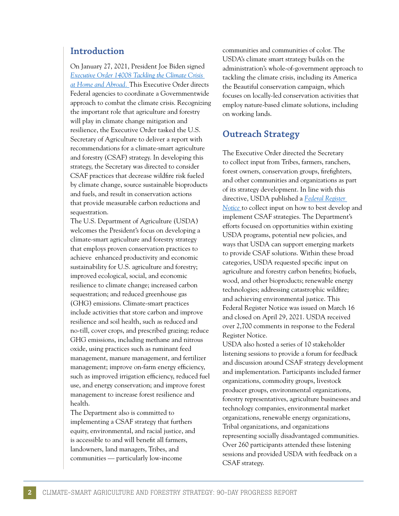#### **Introduction**

On January 27, 2021, President Joe Biden signed *[Executive Order 14008 Tackling the Climate Crisis](https://www.federalregister.gov/documents/2021/02/01/2021-02177/tackling-the-climate-crisis-at-home-and-abroad)  [at Home and Abroad.](https://www.federalregister.gov/documents/2021/02/01/2021-02177/tackling-the-climate-crisis-at-home-and-abroad)* This Executive Order directs Federal agencies to coordinate a Governmentwide approach to combat the climate crisis. Recognizing the important role that agriculture and forestry will play in climate change mitigation and resilience, the Executive Order tasked the U.S. Secretary of Agriculture to deliver a report with recommendations for a climate-smart agriculture and forestry (CSAF) strategy. In developing this strategy, the Secretary was directed to consider CSAF practices that decrease wildfre risk fueled by climate change, source sustainable bioproducts and fuels, and result in conservation actions that provide measurable carbon reductions and sequestration.

The U.S. Department of Agriculture (USDA) welcomes the President's focus on developing a climate-smart agriculture and forestry strategy that employs proven conservation practices to achieve enhanced productivity and economic sustainability for U.S. agriculture and forestry; improved ecological, social, and economic resilience to climate change; increased carbon sequestration; and reduced greenhouse gas (GHG) emissions. Climate-smart practices include activities that store carbon and improve resilience and soil health, such as reduced and no-till, cover crops, and prescribed grazing; reduce GHG emissions, including methane and nitrous oxide, using practices such as ruminant feed management, manure management, and fertilizer management; improve on-farm energy efficiency, such as improved irrigation efficiency, reduced fuel use, and energy conservation; and improve forest management to increase forest resilience and health.

The Department also is committed to implementing a CSAF strategy that furthers equity, environmental, and racial justice, and is accessible to and will beneft all farmers, landowners, land managers, Tribes, and communities — particularly low-income

communities and communities of color. The USDA's climate smart strategy builds on the administration's whole-of-government approach to tackling the climate crisis, including its America the Beautiful conservation campaign, which focuses on locally-led conservation activities that employ nature-based climate solutions, including on working lands.

### **Outreach Strategy**

The Executive Order directed the Secretary to collect input from Tribes, farmers, ranchers, forest owners, conservation groups, frefghters, and other communities and organizations as part of its strategy development. In line with this directive, USDA published a *[Federal Register](https://www.federalregister.gov/documents/2021/03/16/2021-05287/notice-of-request-for-public-comment-on-the-executive-order-on-tackling-the-climate-crisis-at-home)  [Notice](https://www.federalregister.gov/documents/2021/03/16/2021-05287/notice-of-request-for-public-comment-on-the-executive-order-on-tackling-the-climate-crisis-at-home)* to collect input on how to best develop and implement CSAF strategies. The Department's efforts focused on opportunities within existing USDA programs, potential new policies, and ways that USDA can support emerging markets to provide CSAF solutions. Within these broad categories, USDA requested specifc input on agriculture and forestry carbon benefts; biofuels, wood, and other bioproducts; renewable energy technologies; addressing catastrophic wildfre; and achieving environmental justice. This Federal Register Notice was issued on March 16 and closed on April 29, 2021. USDA received over 2,700 comments in response to the Federal Register Notice.

USDA also hosted a series of 10 stakeholder listening sessions to provide a forum for feedback and discussion around CSAF strategy development and implementation. Participants included farmer organizations, commodity groups, livestock producer groups, environmental organizations, forestry representatives, agriculture businesses and technology companies, environmental market organizations, renewable energy organizations, Tribal organizations, and organizations representing socially disadvantaged communities. Over 260 participants attended these listening sessions and provided USDA with feedback on a CSAF strategy.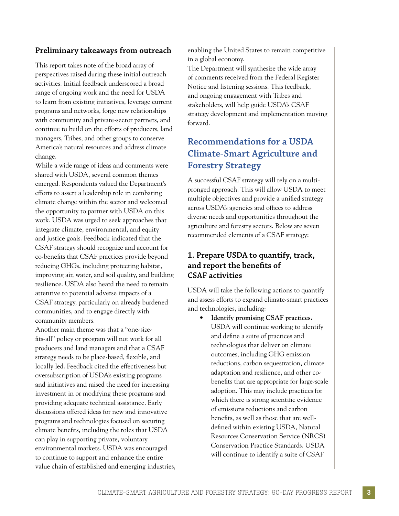#### **Preliminary takeaways from outreach**

This report takes note of the broad array of perspectives raised during these initial outreach activities. Initial feedback underscored a broad range of ongoing work and the need for USDA to learn from existing initiatives, leverage current programs and networks, forge new relationships with community and private-sector partners, and continue to build on the efforts of producers, land managers, Tribes, and other groups to conserve America's natural resources and address climate change.

While a wide range of ideas and comments were shared with USDA, several common themes emerged. Respondents valued the Department's efforts to assert a leadership role in combating climate change within the sector and welcomed the opportunity to partner with USDA on this work. USDA was urged to seek approaches that integrate climate, environmental, and equity and justice goals. Feedback indicated that the CSAF strategy should recognize and account for co-benefts that CSAF practices provide beyond reducing GHGs, including protecting habitat, improving air, water, and soil quality, and building resilience. USDA also heard the need to remain attentive to potential adverse impacts of a CSAF strategy, particularly on already burdened communities, and to engage directly with community members.

Another main theme was that a "one-sizefts-all" policy or program will not work for all producers and land managers and that a CSAF strategy needs to be place-based, fexible, and locally led. Feedback cited the effectiveness but oversubscription of USDA's existing programs and initiatives and raised the need for increasing investment in or modifying these programs and providing adequate technical assistance. Early discussions offered ideas for new and innovative programs and technologies focused on securing climate benefts, including the roles that USDA can play in supporting private, voluntary environmental markets. USDA was encouraged to continue to support and enhance the entire value chain of established and emerging industries, enabling the United States to remain competitive in a global economy.

The Department will synthesize the wide array of comments received from the Federal Register Notice and listening sessions. This feedback, and ongoing engagement with Tribes and stakeholders, will help guide USDA's CSAF strategy development and implementation moving forward.

## **Recommendations for a USDA Climate-Smart Agriculture and Forestry Strategy**

A successful CSAF strategy will rely on a multipronged approach. This will allow USDA to meet multiple objectives and provide a unifed strategy across USDA's agencies and offices to address diverse needs and opportunities throughout the agriculture and forestry sectors. Below are seven recommended elements of a CSAF strategy:

#### **1. Prepare USDA to quantify, track, and report the benefts of CSAF activities**

USDA will take the following actions to quantify and assess efforts to expand climate-smart practices and technologies, including:

• **Identify promising CSAF practices.**  USDA will continue working to identify and defne a suite of practices and technologies that deliver on climate outcomes, including GHG emission reductions, carbon sequestration, climate adaptation and resilience, and other cobenefts that are appropriate for large-scale adoption. This may include practices for which there is strong scientifc evidence of emissions reductions and carbon benefts, as well as those that are welldefned within existing USDA, Natural Resources Conservation Service (NRCS) Conservation Practice Standards. USDA will continue to identify a suite of CSAF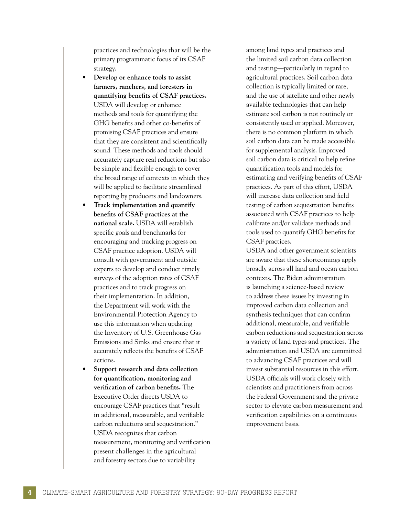practices and technologies that will be the primary programmatic focus of its CSAF strategy.

- **Develop or enhance tools to assist farmers, ranchers, and foresters in quantifying benefts of CSAF practices.**  USDA will develop or enhance methods and tools for quantifying the GHG benefts and other co-benefts of promising CSAF practices and ensure that they are consistent and scientifcally sound. These methods and tools should accurately capture real reductions but also be simple and fexible enough to cover the broad range of contexts in which they will be applied to facilitate streamlined reporting by producers and landowners.
- **Track implementation and quantify benefts of CSAF practices at the national scale.** USDA will establish specifc goals and benchmarks for encouraging and tracking progress on CSAF practice adoption. USDA will consult with government and outside experts to develop and conduct timely surveys of the adoption rates of CSAF practices and to track progress on their implementation. In addition, the Department will work with the Environmental Protection Agency to use this information when updating the Inventory of U.S. Greenhouse Gas Emissions and Sinks and ensure that it accurately refects the benefts of CSAF actions.
- **Support research and data collection for quantifcation, monitoring and verifcation of carbon benefts.** The Executive Order directs USDA to encourage CSAF practices that "result in additional, measurable, and verifable carbon reductions and sequestration." USDA recognizes that carbon measurement, monitoring and verifcation present challenges in the agricultural and forestry sectors due to variability

among land types and practices and the limited soil carbon data collection and testing—particularly in regard to agricultural practices. Soil carbon data collection is typically limited or rare, and the use of satellite and other newly available technologies that can help estimate soil carbon is not routinely or consistently used or applied. Moreover, there is no common platform in which soil carbon data can be made accessible for supplemental analysis. Improved soil carbon data is critical to help refne quantifcation tools and models for estimating and verifying benefts of CSAF practices. As part of this effort, USDA will increase data collection and feld testing of carbon sequestration benefts associated with CSAF practices to help calibrate and/or validate methods and tools used to quantify GHG benefts for CSAF practices.

USDA and other government scientists are aware that these shortcomings apply broadly across all land and ocean carbon contexts. The Biden administration is launching a science-based review to address these issues by investing in improved carbon data collection and synthesis techniques that can confrm additional, measurable, and verifable carbon reductions and sequestration across a variety of land types and practices. The administration and USDA are committed to advancing CSAF practices and will invest substantial resources in this effort. USDA officials will work closely with scientists and practitioners from across the Federal Government and the private sector to elevate carbon measurement and verifcation capabilities on a continuous improvement basis.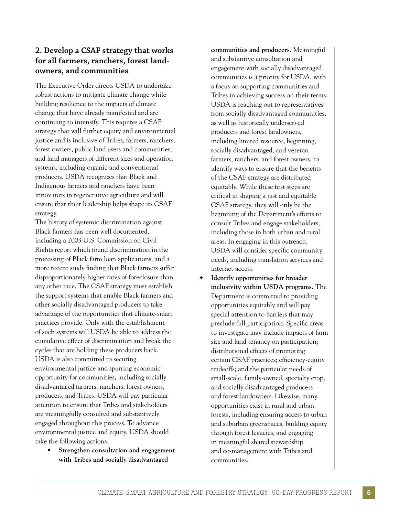#### **2. Develop a CSAF strategy that works for all farmers, ranchers, forest landowners, and communities**

The Executive Order directs USDA to undertake robust actions to mitigate climate change while building resilience to the impacts of climate change that have already manifested and are continuing to intensify. This requires a CSAF strategy that will further equity and environmental justice and is inclusive of Tribes, farmers, ranchers, forest owners, public land users and communities, and land managers of different sizes and operation systems, including organic and conventional producers. USDA recognizes that Black and Indigenous farmers and ranchers have been innovators in regenerative agriculture and will ensure that their leadership helps shape its CSAF strategy.

The history of systemic discrimination against Black farmers has been well documented, including a 2003 U.S. Commission on Civil Rights report which found discrimination in the processing of Black farm loan applications, and a more recent study fnding that Black farmers suffer disproportionately higher rates of foreclosure than any other race. The CSAF strategy must establish the support systems that enable Black farmers and other socially disadvantaged producers to take advantage of the opportunities that climate-smart practices provide. Only with the establishment of such systems will USDA be able to address the cumulative effect of discrimination and break the cycles that are holding these producers back. USDA is also committed to securing environmental justice and spurring economic opportunity for communities, including socially disadvantaged farmers, ranchers, forest owners, producers, and Tribes. USDA will pay particular attention to ensure that Tribes and stakeholders are meaningfully consulted and substantively engaged throughout this process. To advance environmental justice and equity, USDA should take the following actions:

• **Strengthen consultation and engagement with Tribes and socially disadvantaged** 

**communities and producers.** Meaningful and substantive consultation and engagement with socially disadvantaged communities is a priority for USDA, with a focus on supporting communities and Tribes in achieving success on their terms. USDA is reaching out to representatives from socially disadvantaged communities, as well as historically underserved producers and forest landowners, including limited resource, beginning, socially disadvantaged, and veteran farmers, ranchers, and forest owners, to identify ways to ensure that the benefts of the CSAF strategy are distributed equitably. While these frst steps are critical in shaping a just and equitable CSAF strategy, they will only be the beginning of the Department's efforts to consult Tribes and engage stakeholders, including those in both urban and rural areas. In engaging in this outreach, USDA will consider specifc community needs, including translation services and internet access.

• **Identify opportunities for broader inclusivity within USDA programs.** The Department is committed to providing opportunities equitably and will pay special attention to barriers that may preclude full participation. Specifc areas to investigate may include impacts of farm size and land tenancy on participation; distributional effects of promoting certain CSAF practices; efficiency-equity tradeoffs; and the particular needs of small-scale, family-owned, specialty crop, and socially disadvantaged producers and forest landowners. Likewise, many opportunities exist in rural and urban forests, including ensuring access to urban and suburban greenspaces, building equity through forest legacies, and engaging in meaningful shared stewardship and co-management with Tribes and communities.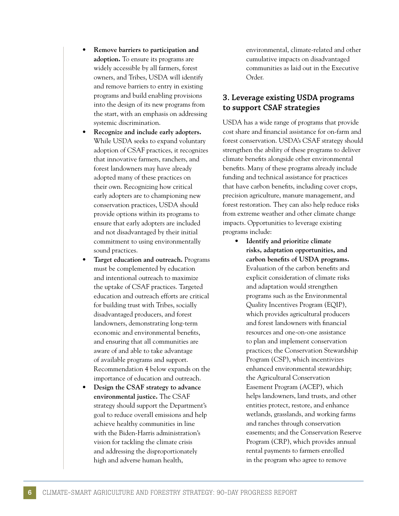- **Remove barriers to participation and adoption.** To ensure its programs are widely accessible by all farmers, forest owners, and Tribes, USDA will identify and remove barriers to entry in existing programs and build enabling provisions into the design of its new programs from the start, with an emphasis on addressing systemic discrimination.
- **Recognize and include early adopters.**  While USDA seeks to expand voluntary adoption of CSAF practices, it recognizes that innovative farmers, ranchers, and forest landowners may have already adopted many of these practices on their own. Recognizing how critical early adopters are to championing new conservation practices, USDA should provide options within its programs to ensure that early adopters are included and not disadvantaged by their initial commitment to using environmentally sound practices.
- **Target education and outreach.** Programs must be complemented by education and intentional outreach to maximize the uptake of CSAF practices. Targeted education and outreach efforts are critical for building trust with Tribes, socially disadvantaged producers, and forest landowners, demonstrating long-term economic and environmental benefts, and ensuring that all communities are aware of and able to take advantage of available programs and support. Recommendation 4 below expands on the importance of education and outreach.
- **Design the CSAF strategy to advance environmental justice.** The CSAF strategy should support the Department's goal to reduce overall emissions and help achieve healthy communities in line with the Biden-Harris administration's vision for tackling the climate crisis and addressing the disproportionately high and adverse human health,

environmental, climate-related and other cumulative impacts on disadvantaged communities as laid out in the Executive Order.

#### **3. Leverage existing USDA programs to support CSAF strategies**

USDA has a wide range of programs that provide cost share and fnancial assistance for on-farm and forest conservation. USDA's CSAF strategy should strengthen the ability of these programs to deliver climate benefts alongside other environmental benefts. Many of these programs already include funding and technical assistance for practices that have carbon benefts, including cover crops, precision agriculture, manure management, and forest restoration. They can also help reduce risks from extreme weather and other climate change impacts. Opportunities to leverage existing programs include:

• **Identify and prioritize climate risks, adaptation opportunities, and carbon benefts of USDA programs.**  Evaluation of the carbon benefts and explicit consideration of climate risks and adaptation would strengthen programs such as the Environmental Quality Incentives Program (EQIP), which provides agricultural producers and forest landowners with fnancial resources and one-on-one assistance to plan and implement conservation practices; the Conservation Stewardship Program (CSP), which incentivizes enhanced environmental stewardship; the Agricultural Conservation Easement Program (ACEP), which helps landowners, land trusts, and other entities protect, restore, and enhance wetlands, grasslands, and working farms and ranches through conservation easements; and the Conservation Reserve Program (CRP), which provides annual rental payments to farmers enrolled in the program who agree to remove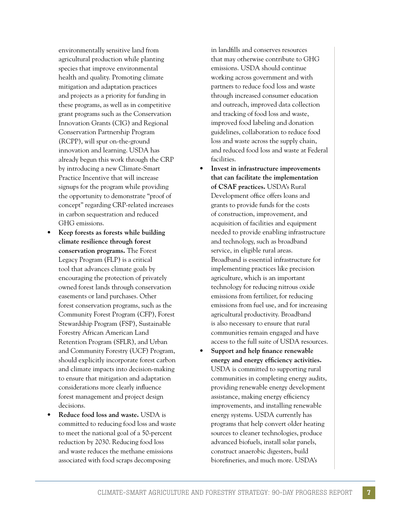environmentally sensitive land from agricultural production while planting species that improve environmental health and quality. Promoting climate mitigation and adaptation practices and projects as a priority for funding in these programs, as well as in competitive grant programs such as the Conservation Innovation Grants (CIG) and Regional Conservation Partnership Program (RCPP), will spur on-the-ground innovation and learning. USDA has already begun this work through the CRP by introducing a new Climate-Smart Practice Incentive that will increase signups for the program while providing the opportunity to demonstrate "proof of concept" regarding CRP-related increases in carbon sequestration and reduced GHG emissions.

- **Keep forests as forests while building climate resilience through forest conservation programs.** The Forest Legacy Program (FLP) is a critical tool that advances climate goals by encouraging the protection of privately owned forest lands through conservation easements or land purchases. Other forest conservation programs, such as the Community Forest Program (CFP), Forest Stewardship Program (FSP), Sustainable Forestry African American Land Retention Program (SFLR), and Urban and Community Forestry (UCF) Program, should explicitly incorporate forest carbon and climate impacts into decision-making to ensure that mitigation and adaptation considerations more clearly infuence forest management and project design decisions.
- **Reduce food loss and waste.** USDA is committed to reducing food loss and waste to meet the national goal of a 50-percent reduction by 2030. Reducing food loss and waste reduces the methane emissions associated with food scraps decomposing

in landflls and conserves resources that may otherwise contribute to GHG emissions. USDA should continue working across government and with partners to reduce food loss and waste through increased consumer education and outreach, improved data collection and tracking of food loss and waste, improved food labeling and donation guidelines, collaboration to reduce food loss and waste across the supply chain, and reduced food loss and waste at Federal facilities.

- **Invest in infrastructure improvements that can facilitate the implementation of CSAF practices.** USDA's Rural Development office offers loans and grants to provide funds for the costs of construction, improvement, and acquisition of facilities and equipment needed to provide enabling infrastructure and technology, such as broadband service, in eligible rural areas. Broadband is essential infrastructure for implementing practices like precision agriculture, which is an important technology for reducing nitrous oxide emissions from fertilizer, for reducing emissions from fuel use, and for increasing agricultural productivity. Broadband is also necessary to ensure that rural communities remain engaged and have access to the full suite of USDA resources.
- **Support and help fnance renewable energy and energy effciency activities.**  USDA is committed to supporting rural communities in completing energy audits, providing renewable energy development assistance, making energy efficiency improvements, and installing renewable energy systems. USDA currently has programs that help convert older heating sources to cleaner technologies, produce advanced biofuels, install solar panels, construct anaerobic digesters, build biorefneries, and much more. USDA's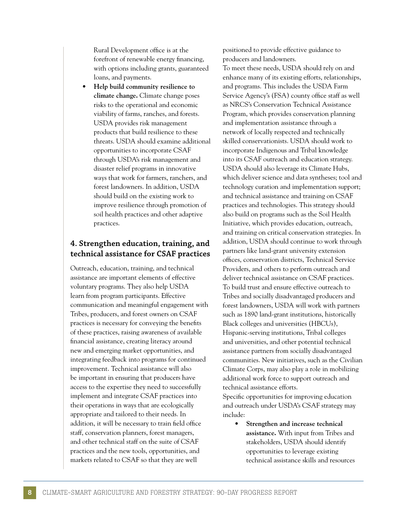Rural Development office is at the forefront of renewable energy fnancing, with options including grants, guaranteed loans, and payments.

• **Help build community resilience to climate change.** Climate change poses risks to the operational and economic viability of farms, ranches, and forests. USDA provides risk management products that build resilience to these threats. USDA should examine additional opportunities to incorporate CSAF through USDA's risk management and disaster relief programs in innovative ways that work for farmers, ranchers, and forest landowners. In addition, USDA should build on the existing work to improve resilience through promotion of soil health practices and other adaptive practices.

#### **4. Strengthen education, training, and technical assistance for CSAF practices**

Outreach, education, training, and technical assistance are important elements of effective voluntary programs. They also help USDA learn from program participants. Effective communication and meaningful engagement with Tribes, producers, and forest owners on CSAF practices is necessary for conveying the benefts of these practices, raising awareness of available fnancial assistance, creating literacy around new and emerging market opportunities, and integrating feedback into programs for continued improvement. Technical assistance will also be important in ensuring that producers have access to the expertise they need to successfully implement and integrate CSAF practices into their operations in ways that are ecologically appropriate and tailored to their needs. In addition, it will be necessary to train field office staff, conservation planners, forest managers, and other technical staff on the suite of CSAF practices and the new tools, opportunities, and markets related to CSAF so that they are well

positioned to provide effective guidance to producers and landowners. To meet these needs, USDA should rely on and enhance many of its existing efforts, relationships, and programs. This includes the USDA Farm Service Agency's (FSA) county office staff as well as NRCS's Conservation Technical Assistance Program, which provides conservation planning and implementation assistance through a network of locally respected and technically skilled conservationists. USDA should work to incorporate Indigenous and Tribal knowledge into its CSAF outreach and education strategy. USDA should also leverage its Climate Hubs, which deliver science and data syntheses; tool and technology curation and implementation support; and technical assistance and training on CSAF practices and technologies. This strategy should also build on programs such as the Soil Health Initiative, which provides education, outreach, and training on critical conservation strategies. In addition, USDA should continue to work through partners like land-grant university extension offces, conservation districts, Technical Service Providers, and others to perform outreach and deliver technical assistance on CSAF practices. To build trust and ensure effective outreach to Tribes and socially disadvantaged producers and forest landowners, USDA will work with partners such as 1890 land-grant institutions, historically Black colleges and universities (HBCUs), Hispanic-serving institutions, Tribal colleges and universities, and other potential technical assistance partners from socially disadvantaged communities. New initiatives, such as the Civilian Climate Corps, may also play a role in mobilizing additional work force to support outreach and technical assistance efforts. Specifc opportunities for improving education

and outreach under USDA's CSAF strategy may include:

• **Strengthen and increase technical assistance.** With input from Tribes and stakeholders, USDA should identify opportunities to leverage existing technical assistance skills and resources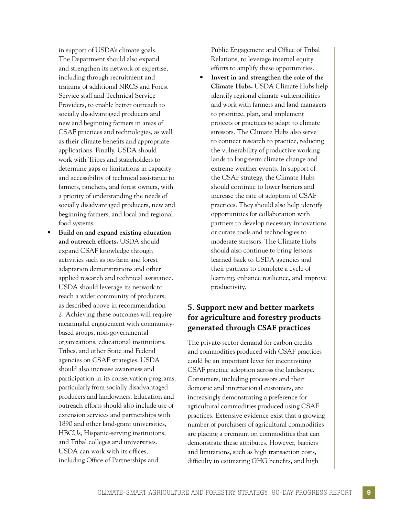in support of USDA's climate goals. The Department should also expand and strengthen its network of expertise, including through recruitment and training of additional NRCS and Forest Service staff and Technical Service Providers, to enable better outreach to socially disadvantaged producers and new and beginning farmers in areas of CSAF practices and technologies, as well as their climate benefts and appropriate applications. Finally, USDA should work with Tribes and stakeholders to determine gaps or limitations in capacity and accessibility of technical assistance to farmers, ranchers, and forest owners, with a priority of understanding the needs of socially disadvantaged producers, new and beginning farmers, and local and regional food systems.

• **Build on and expand existing education and outreach efforts.** USDA should expand CSAF knowledge through activities such as on-farm and forest adaptation demonstrations and other applied research and technical assistance. USDA should leverage its network to reach a wider community of producers, as described above in recommendation 2. Achieving these outcomes will require meaningful engagement with communitybased groups, non-governmental organizations, educational institutions, Tribes, and other State and Federal agencies on CSAF strategies. USDA should also increase awareness and participation in its conservation programs, particularly from socially disadvantaged producers and landowners. Education and outreach efforts should also include use of extension services and partnerships with 1890 and other land-grant universities, HBCUs, Hispanic-serving institutions, and Tribal colleges and universities. USDA can work with its offices, including Office of Partnerships and

Public Engagement and Office of Tribal Relations, to leverage internal equity efforts to amplify these opportunities.

• **Invest in and strengthen the role of the Climate Hubs.** USDA Climate Hubs help identify regional climate vulnerabilities and work with farmers and land managers to prioritize, plan, and implement projects or practices to adapt to climate stressors. The Climate Hubs also serve to connect research to practice, reducing the vulnerability of productive working lands to long-term climate change and extreme weather events. In support of the CSAF strategy, the Climate Hubs should continue to lower barriers and increase the rate of adoption of CSAF practices. They should also help identify opportunities for collaboration with partners to develop necessary innovations or curate tools and technologies to moderate stressors. The Climate Hubs should also continue to bring lessonslearned back to USDA agencies and their partners to complete a cycle of learning, enhance resilience, and improve productivity.

#### **5. Support new and better markets for agriculture and forestry products generated through CSAF practices**

The private-sector demand for carbon credits and commodities produced with CSAF practices could be an important lever for incentivizing CSAF practice adoption across the landscape. Consumers, including processors and their domestic and international customers, are increasingly demonstrating a preference for agricultural commodities produced using CSAF practices. Extensive evidence exist that a growing number of purchasers of agricultural commodities are placing a premium on commodities that can demonstrate these attributes. However, barriers and limitations, such as high transaction costs, difficulty in estimating GHG benefits, and high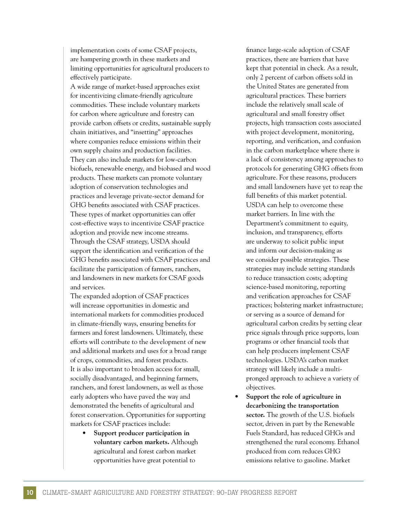implementation costs of some CSAF projects, are hampering growth in these markets and limiting opportunities for agricultural producers to effectively participate.

A wide range of market-based approaches exist for incentivizing climate-friendly agriculture commodities. These include voluntary markets for carbon where agriculture and forestry can provide carbon offsets or credits, sustainable supply chain initiatives, and "insetting" approaches where companies reduce emissions within their own supply chains and production facilities. They can also include markets for low-carbon biofuels, renewable energy, and biobased and wood products. These markets can promote voluntary adoption of conservation technologies and practices and leverage private-sector demand for GHG benefts associated with CSAF practices. These types of market opportunities can offer cost-effective ways to incentivize CSAF practice adoption and provide new income streams. Through the CSAF strategy, USDA should support the identifcation and verifcation of the GHG benefts associated with CSAF practices and facilitate the participation of farmers, ranchers, and landowners in new markets for CSAF goods and services.

The expanded adoption of CSAF practices will increase opportunities in domestic and international markets for commodities produced in climate-friendly ways, ensuring benefts for farmers and forest landowners. Ultimately, these efforts will contribute to the development of new and additional markets and uses for a broad range of crops, commodities, and forest products. It is also important to broaden access for small, socially disadvantaged, and beginning farmers, ranchers, and forest landowners, as well as those early adopters who have paved the way and demonstrated the benefts of agricultural and forest conservation. Opportunities for supporting markets for CSAF practices include:

> • **Support producer participation in voluntary carbon markets.** Although agricultural and forest carbon market opportunities have great potential to

fnance large-scale adoption of CSAF practices, there are barriers that have kept that potential in check. As a result, only 2 percent of carbon offsets sold in the United States are generated from agricultural practices. These barriers include the relatively small scale of agricultural and small forestry offset projects, high transaction costs associated with project development, monitoring, reporting, and verifcation, and confusion in the carbon marketplace where there is a lack of consistency among approaches to protocols for generating GHG offsets from agriculture. For these reasons, producers and small landowners have yet to reap the full benefts of this market potential. USDA can help to overcome these market barriers. In line with the Department's commitment to equity, inclusion, and transparency, efforts are underway to solicit public input and inform our decision-making as we consider possible strategies. These strategies may include setting standards to reduce transaction costs; adopting science-based monitoring, reporting and verifcation approaches for CSAF practices; bolstering market infrastructure; or serving as a source of demand for agricultural carbon credits by setting clear price signals through price supports, loan programs or other fnancial tools that can help producers implement CSAF technologies. USDA's carbon market strategy will likely include a multipronged approach to achieve a variety of objectives.

• **Support the role of agriculture in decarbonizing the transportation sector.** The growth of the U.S. biofuels sector, driven in part by the Renewable Fuels Standard, has reduced GHGs and strengthened the rural economy. Ethanol produced from corn reduces GHG emissions relative to gasoline. Market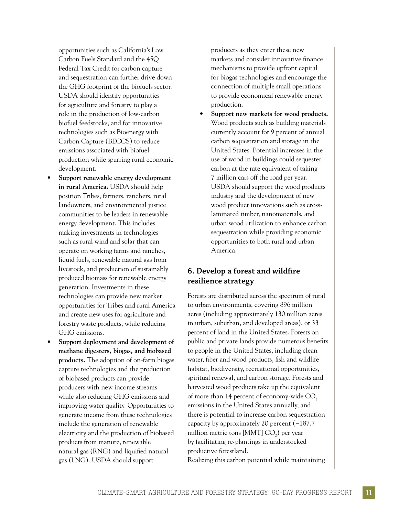opportunities such as California's Low Carbon Fuels Standard and the 45Q Federal Tax Credit for carbon capture and sequestration can further drive down the GHG footprint of the biofuels sector. USDA should identify opportunities for agriculture and forestry to play a role in the production of low-carbon biofuel feedstocks, and for innovative technologies such as Bioenergy with Carbon Capture (BECCS) to reduce emissions associated with biofuel production while spurring rural economic development.

- **Support renewable energy development in rural America.** USDA should help position Tribes, farmers, ranchers, rural landowners, and environmental justice communities to be leaders in renewable energy development. This includes making investments in technologies such as rural wind and solar that can operate on working farms and ranches, liquid fuels, renewable natural gas from livestock, and production of sustainably produced biomass for renewable energy generation. Investments in these technologies can provide new market opportunities for Tribes and rural America and create new uses for agriculture and forestry waste products, while reducing GHG emissions.
- **Support deployment and development of methane digesters, biogas, and biobased products.** The adoption of on-farm biogas capture technologies and the production of biobased products can provide producers with new income streams while also reducing GHG emissions and improving water quality. Opportunities to generate income from these technologies include the generation of renewable electricity and the production of biobased products from manure, renewable natural gas (RNG) and liquifed natural gas (LNG). USDA should support

producers as they enter these new markets and consider innovative fnance mechanisms to provide upfront capital for biogas technologies and encourage the connection of multiple small operations to provide economical renewable energy production.

• **Support new markets for wood products.**  Wood products such as building materials currently account for 9 percent of annual carbon sequestration and storage in the United States. Potential increases in the use of wood in buildings could sequester carbon at the rate equivalent of taking 7 million cars off the road per year. USDA should support the wood products industry and the development of new wood product innovations such as crosslaminated timber, nanomaterials, and urban wood utilization to enhance carbon sequestration while providing economic opportunities to both rural and urban America.

#### **6. Develop a forest and wildfre resilience strategy**

Forests are distributed across the spectrum of rural to urban environments, covering 896 million acres (including approximately 130 million acres in urban, suburban, and developed areas), or 33 percent of land in the United States. Forests on public and private lands provide numerous benefts to people in the United States, including clean water, fber and wood products, fsh and wildlife habitat, biodiversity, recreational opportunities, spiritual renewal, and carbon storage. Forests and harvested wood products take up the equivalent of more than 14 percent of economy-wide CO<sub>2</sub> emissions in the United States annually, and there is potential to increase carbon sequestration capacity by approximately 20 percent (−187.7 million metric tons [MMT]  $CO<sub>2</sub>$ ) per year by facilitating re-plantings in understocked productive forestland.

Realizing this carbon potential while maintaining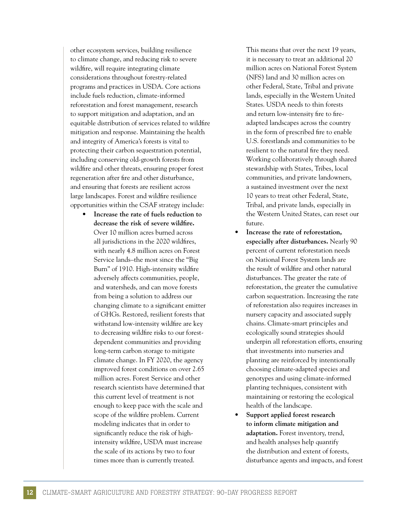other ecosystem services, building resilience to climate change, and reducing risk to severe wildfre, will require integrating climate considerations throughout forestry-related programs and practices in USDA. Core actions include fuels reduction, climate-informed reforestation and forest management, research to support mitigation and adaptation, and an equitable distribution of services related to wildfre mitigation and response. Maintaining the health and integrity of America's forests is vital to protecting their carbon sequestration potential, including conserving old-growth forests from wildfre and other threats, ensuring proper forest regeneration after fre and other disturbance, and ensuring that forests are resilient across large landscapes. Forest and wildfre resilience opportunities within the CSAF strategy include:

• **Increase the rate of fuels reduction to decrease the risk of severe wildfre.**  Over 10 million acres burned across all jurisdictions in the 2020 wildfres, with nearly 4.8 million acres on Forest Service lands–the most since the "Big Burn" of 1910. High-intensity wildfre adversely affects communities, people, and watersheds, and can move forests from being a solution to address our changing climate to a signifcant emitter of GHGs. Restored, resilient forests that withstand low-intensity wildfre are key to decreasing wildfre risks to our forestdependent communities and providing long-term carbon storage to mitigate climate change. In FY 2020, the agency improved forest conditions on over 2.65 million acres. Forest Service and other research scientists have determined that this current level of treatment is not enough to keep pace with the scale and scope of the wildfre problem. Current modeling indicates that in order to signifcantly reduce the risk of highintensity wildfre, USDA must increase the scale of its actions by two to four times more than is currently treated.

This means that over the next 19 years, it is necessary to treat an additional 20 million acres on National Forest System (NFS) land and 30 million acres on other Federal, State, Tribal and private lands, especially in the Western United States. USDA needs to thin forests and return low-intensity fre to freadapted landscapes across the country in the form of prescribed fre to enable U.S. forestlands and communities to be resilient to the natural fre they need. Working collaboratively through shared stewardship with States, Tribes, local communities, and private landowners, a sustained investment over the next 10 years to treat other Federal, State, Tribal, and private lands, especially in the Western United States, can reset our future.

- **Increase the rate of reforestation, especially after disturbances.** Nearly 90 percent of current reforestation needs on National Forest System lands are the result of wildfre and other natural disturbances. The greater the rate of reforestation, the greater the cumulative carbon sequestration. Increasing the rate of reforestation also requires increases in nursery capacity and associated supply chains. Climate-smart principles and ecologically sound strategies should underpin all reforestation efforts, ensuring that investments into nurseries and planting are reinforced by intentionally choosing climate-adapted species and genotypes and using climate-informed planting techniques, consistent with maintaining or restoring the ecological health of the landscape.
- **Support applied forest research to inform climate mitigation and adaptation.** Forest inventory, trend, and health analyses help quantify the distribution and extent of forests, disturbance agents and impacts, and forest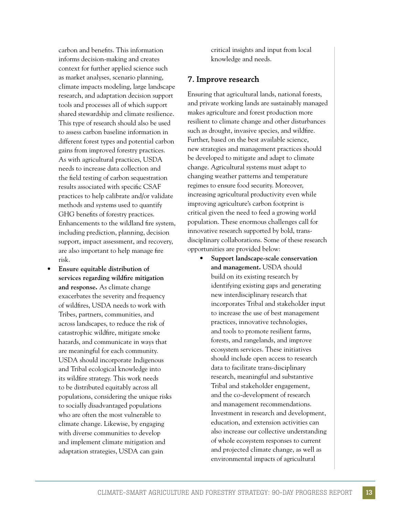carbon and benefts. This information informs decision-making and creates context for further applied science such as market analyses, scenario planning, climate impacts modeling, large landscape research, and adaptation decision support tools and processes all of which support shared stewardship and climate resilience. This type of research should also be used to assess carbon baseline information in different forest types and potential carbon gains from improved forestry practices. As with agricultural practices, USDA needs to increase data collection and the feld testing of carbon sequestration results associated with specifc CSAF practices to help calibrate and/or validate methods and systems used to quantify GHG benefts of forestry practices. Enhancements to the wildland fre system, including prediction, planning, decision support, impact assessment, and recovery, are also important to help manage fre risk.

• **Ensure equitable distribution of services regarding wildfre mitigation and response.** As climate change exacerbates the severity and frequency of wildfres, USDA needs to work with Tribes, partners, communities, and across landscapes, to reduce the risk of catastrophic wildfre, mitigate smoke hazards, and communicate in ways that are meaningful for each community. USDA should incorporate Indigenous and Tribal ecological knowledge into its wildfre strategy. This work needs to be distributed equitably across all populations, considering the unique risks to socially disadvantaged populations who are often the most vulnerable to climate change. Likewise, by engaging with diverse communities to develop and implement climate mitigation and adaptation strategies, USDA can gain

critical insights and input from local knowledge and needs.

#### **7. Improve research**

Ensuring that agricultural lands, national forests, and private working lands are sustainably managed makes agriculture and forest production more resilient to climate change and other disturbances such as drought, invasive species, and wildfre. Further, based on the best available science, new strategies and management practices should be developed to mitigate and adapt to climate change. Agricultural systems must adapt to changing weather patterns and temperature regimes to ensure food security. Moreover, increasing agricultural productivity even while improving agriculture's carbon footprint is critical given the need to feed a growing world population. These enormous challenges call for innovative research supported by bold, transdisciplinary collaborations. Some of these research opportunities are provided below:

> • **Support landscape-scale conservation and management.** USDA should build on its existing research by identifying existing gaps and generating new interdisciplinary research that incorporates Tribal and stakeholder input to increase the use of best management practices, innovative technologies, and tools to promote resilient farms, forests, and rangelands, and improve ecosystem services. These initiatives should include open access to research data to facilitate trans-disciplinary research, meaningful and substantive Tribal and stakeholder engagement, and the co-development of research and management recommendations. Investment in research and development, education, and extension activities can also increase our collective understanding of whole ecosystem responses to current and projected climate change, as well as environmental impacts of agricultural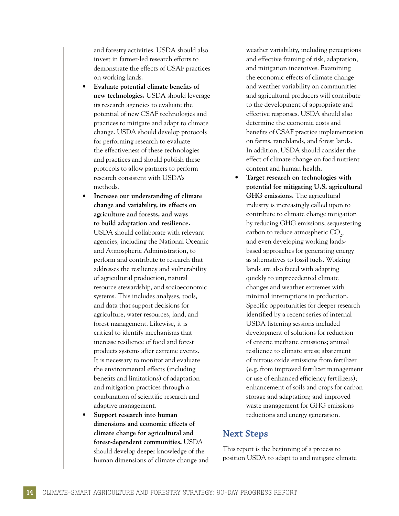and forestry activities. USDA should also invest in farmer-led research efforts to demonstrate the effects of CSAF practices on working lands.

- **Evaluate potential climate benefts of new technologies.** USDA should leverage its research agencies to evaluate the potential of new CSAF technologies and practices to mitigate and adapt to climate change. USDA should develop protocols for performing research to evaluate the effectiveness of these technologies and practices and should publish these protocols to allow partners to perform research consistent with USDA's methods.
- **Increase our understanding of climate change and variability, its effects on agriculture and forests, and ways to build adaptation and resilience.**  USDA should collaborate with relevant agencies, including the National Oceanic and Atmospheric Administration, to perform and contribute to research that addresses the resiliency and vulnerability of agricultural production, natural resource stewardship, and socioeconomic systems. This includes analyses, tools, and data that support decisions for agriculture, water resources, land, and forest management. Likewise, it is critical to identify mechanisms that increase resilience of food and forest products systems after extreme events. It is necessary to monitor and evaluate the environmental effects (including benefts and limitations) of adaptation and mitigation practices through a combination of scientifc research and adaptive management.
- **Support research into human dimensions and economic effects of climate change for agricultural and forest-dependent communities.** USDA should develop deeper knowledge of the human dimensions of climate change and

weather variability, including perceptions and effective framing of risk, adaptation, and mitigation incentives. Examining the economic effects of climate change and weather variability on communities and agricultural producers will contribute to the development of appropriate and effective responses. USDA should also determine the economic costs and benefts of CSAF practice implementation on farms, ranchlands, and forest lands. In addition, USDA should consider the effect of climate change on food nutrient content and human health.

• **Target research on technologies with potential for mitigating U.S. agricultural GHG emissions.** The agricultural industry is increasingly called upon to contribute to climate change mitigation by reducing GHG emissions, sequestering carbon to reduce atmospheric  $\text{CO}_2$ , and even developing working landsbased approaches for generating energy as alternatives to fossil fuels. Working lands are also faced with adapting quickly to unprecedented climate changes and weather extremes with minimal interruptions in production. Specifc opportunities for deeper research identifed by a recent series of internal USDA listening sessions included development of solutions for reduction of enteric methane emissions; animal resilience to climate stress; abatement of nitrous oxide emissions from fertilizer (e.g. from improved fertilizer management or use of enhanced effciency fertilizers); enhancement of soils and crops for carbon storage and adaptation; and improved waste management for GHG emissions reductions and energy generation.

#### **Next Steps**

This report is the beginning of a process to position USDA to adapt to and mitigate climate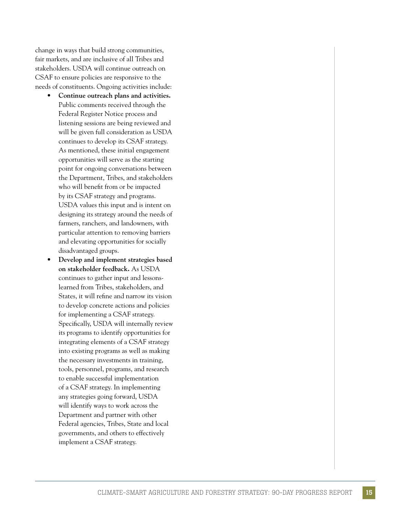change in ways that build strong communities, fair markets, and are inclusive of all Tribes and stakeholders. USDA will continue outreach on CSAF to ensure policies are responsive to the needs of constituents. Ongoing activities include:

- **Continue outreach plans and activities.**  Public comments received through the Federal Register Notice process and listening sessions are being reviewed and will be given full consideration as USDA continues to develop its CSAF strategy. As mentioned, these initial engagement opportunities will serve as the starting point for ongoing conversations between the Department, Tribes, and stakeholders who will beneft from or be impacted by its CSAF strategy and programs. USDA values this input and is intent on designing its strategy around the needs of farmers, ranchers, and landowners, with particular attention to removing barriers and elevating opportunities for socially disadvantaged groups.
- **Develop and implement strategies based on stakeholder feedback.** As USDA continues to gather input and lessonslearned from Tribes, stakeholders, and States, it will refne and narrow its vision to develop concrete actions and policies for implementing a CSAF strategy. Specifcally, USDA will internally review its programs to identify opportunities for integrating elements of a CSAF strategy into existing programs as well as making the necessary investments in training, tools, personnel, programs, and research to enable successful implementation of a CSAF strategy. In implementing any strategies going forward, USDA will identify ways to work across the Department and partner with other Federal agencies, Tribes, State and local governments, and others to effectively implement a CSAF strategy.